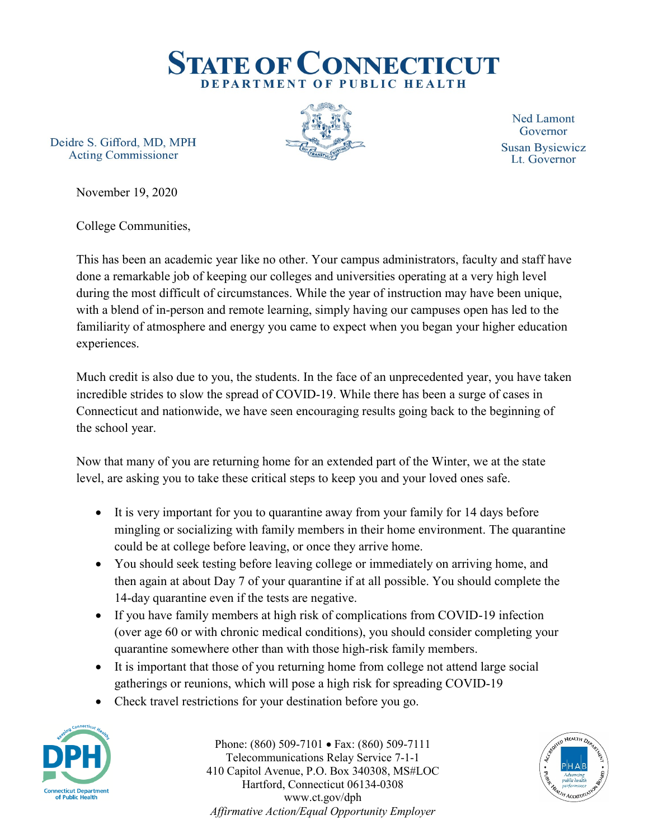

Deidre S. Gifford, MD, MPH **Acting Commissioner** 



**Ned Lamont** Governor **Susan Bysiewicz** Lt. Governor

November 19, 2020

College Communities,

This has been an academic year like no other. Your campus administrators, faculty and staff have done a remarkable job of keeping our colleges and universities operating at a very high level during the most difficult of circumstances. While the year of instruction may have been unique, with a blend of in-person and remote learning, simply having our campuses open has led to the familiarity of atmosphere and energy you came to expect when you began your higher education experiences.

Much credit is also due to you, the students. In the face of an unprecedented year, you have taken incredible strides to slow the spread of COVID-19. While there has been a surge of cases in Connecticut and nationwide, we have seen encouraging results going back to the beginning of the school year.

Now that many of you are returning home for an extended part of the Winter, we at the state level, are asking you to take these critical steps to keep you and your loved ones safe.

- It is very important for you to quarantine away from your family for 14 days before mingling or socializing with family members in their home environment. The quarantine could be at college before leaving, or once they arrive home.
- You should seek testing before leaving college or immediately on arriving home, and then again at about Day 7 of your quarantine if at all possible. You should complete the 14-day quarantine even if the tests are negative.
- If you have family members at high risk of complications from COVID-19 infection (over age 60 or with chronic medical conditions), you should consider completing your quarantine somewhere other than with those high-risk family members.
- It is important that those of you returning home from college not attend large social gatherings or reunions, which will pose a high risk for spreading COVID-19
- Check travel restrictions for your destination before you go.



Phone: (860) 509-7101 • Fax: (860) 509-7111 Telecommunications Relay Service 7-1-1 410 Capitol Avenue, P.O. Box 340308, MS#LOC Hartford, Connecticut 06134-0308 www.ct.gov/dph *Affirmative Action/Equal Opportunity Employer*